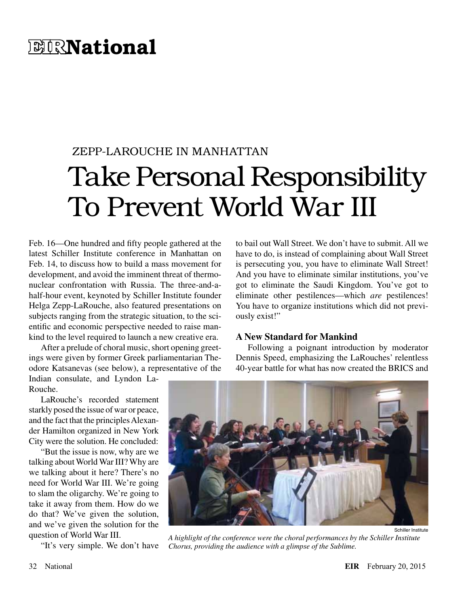## **EIRNational**

## ZEPP-LAROUCHE IN MANHATTAN Take Personal Responsibility To Prevent World War III

Feb. 16—One hundred and fifty people gathered at the latest Schiller Institute conference in Manhattan on Feb. 14, to discuss how to build a mass movement for development, and avoid the imminent threat of thermonuclear confrontation with Russia. The three-and-ahalf-hour event, keynoted by Schiller Institute founder Helga Zepp-LaRouche, also featured presentations on subjects ranging from the strategic situation, to the scientific and economic perspective needed to raise mankind to the level required to launch a new creative era.

After a prelude of choral music, short opening greetings were given by former Greek parliamentarian Theodore Katsanevas (see below), a representative of the

Indian consulate, and Lyndon La-Rouche.

LaRouche's recorded statement starkly posed the issue of war or peace, and the fact that the principles Alexander Hamilton organized in New York City were the solution. He concluded:

"But the issue is now, why are we talking about World War III? Why are we talking about it here? There's no need for World War III. We're going to slam the oligarchy. We're going to take it away from them. How do we do that? We've given the solution, and we've given the solution for the question of World War III.

"It's very simple. We don't have

to bail out Wall Street. We don't have to submit. All we have to do, is instead of complaining about Wall Street is persecuting you, you have to eliminate Wall Street! And you have to eliminate similar institutions, you've got to eliminate the Saudi Kingdom. You've got to eliminate other pestilences—which *are* pestilences! You have to organize institutions which did not previously exist!"

## **A New Standard for Mankind**

Following a poignant introduction by moderator Dennis Speed, emphasizing the LaRouches' relentless 40-year battle for what has now created the BRICS and



*A highlight of the conference were the choral performances by the Schiller Institute Chorus, providing the audience with a glimpse of the Sublime.*